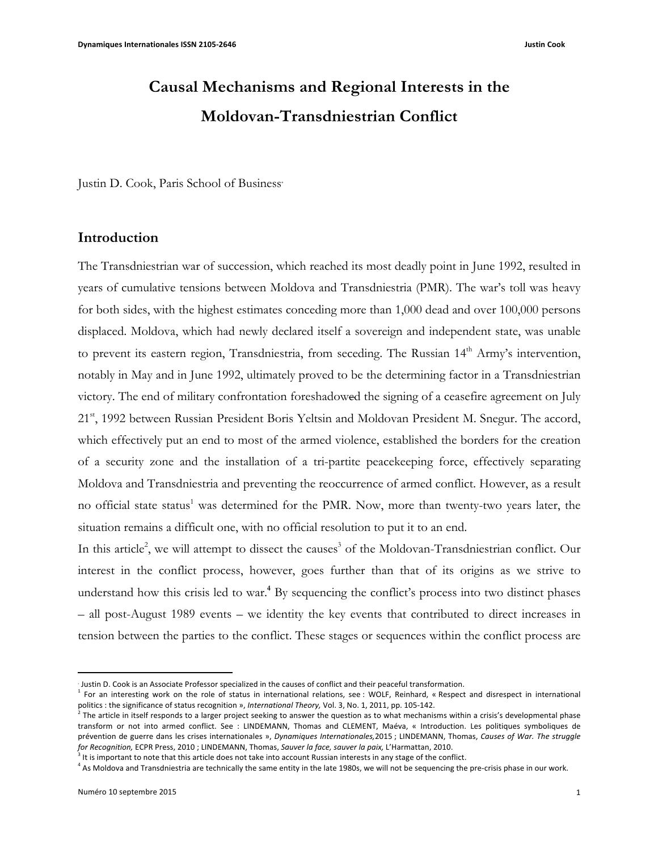# **Causal Mechanisms and Regional Interests in the Moldovan-Transdniestrian Conflict**

Justin D. Cook, Paris School of Business<sup>∗</sup>

## **Introduction**

The Transdniestrian war of succession, which reached its most deadly point in June 1992, resulted in years of cumulative tensions between Moldova and Transdniestria (PMR). The war's toll was heavy for both sides, with the highest estimates conceding more than 1,000 dead and over 100,000 persons displaced. Moldova, which had newly declared itself a sovereign and independent state, was unable to prevent its eastern region, Transdniestria, from seceding. The Russian 14<sup>th</sup> Army's intervention, notably in May and in June 1992, ultimately proved to be the determining factor in a Transdniestrian victory. The end of military confrontation foreshadowed the signing of a ceasefire agreement on July 21<sup>st</sup>, 1992 between Russian President Boris Yeltsin and Moldovan President M. Snegur. The accord, which effectively put an end to most of the armed violence, established the borders for the creation of a security zone and the installation of a tri-partite peacekeeping force, effectively separating Moldova and Transdniestria and preventing the reoccurrence of armed conflict. However, as a result no official state status<sup>1</sup> was determined for the PMR. Now, more than twenty-two years later, the situation remains a difficult one, with no official resolution to put it to an end.

In this article<sup>2</sup>, we will attempt to dissect the causes<sup>3</sup> of the Moldovan-Transdniestrian conflict. Our interest in the conflict process, however, goes further than that of its origins as we strive to understand how this crisis led to war.<sup>4</sup> By sequencing the conflict's process into two distinct phases – all post-August 1989 events – we identity the key events that contributed to direct increases in tension between the parties to the conflict. These stages or sequences within the conflict process are

<sup>⋅</sup> Justin D. Cook is an Associate Professor specialized in the causes of conflict and their peaceful transformation.

<sup>&</sup>lt;sup>1</sup> For an interesting work on the role of status in international relations, see: WOLF, Reinhard, « Respect and disrespect in international politics : the significance of status recognition », *International Theory*, Vol. 3, No. 1, 2011, pp. 105-142.

 $\frac{1}{2}$  The article in itself responds to a larger project seeking to answer the question as to what mechanisms within a crisis's developmental phase transform or not into armed conflict. See : LINDEMANN, Thomas and CLEMENT, Maéva, « Introduction. Les politiques symboliques de prévention de guerre dans les crises internationales », Dynamiques Internationales,2015 ; LINDEMANN, Thomas, Causes of War. The struggle *for Recognition,* ECPR Press, 2010 ; LINDEMANN, Thomas, Sauver la face, sauver la paix, L'Harmattan, 2010.

It is important to note that this article does not take into account Russian interests in any stage of the conflict.

<sup>&</sup>lt;sup>4</sup> As Moldova and Transdniestria are technically the same entity in the late 1980s, we will not be sequencing the pre-crisis phase in our work.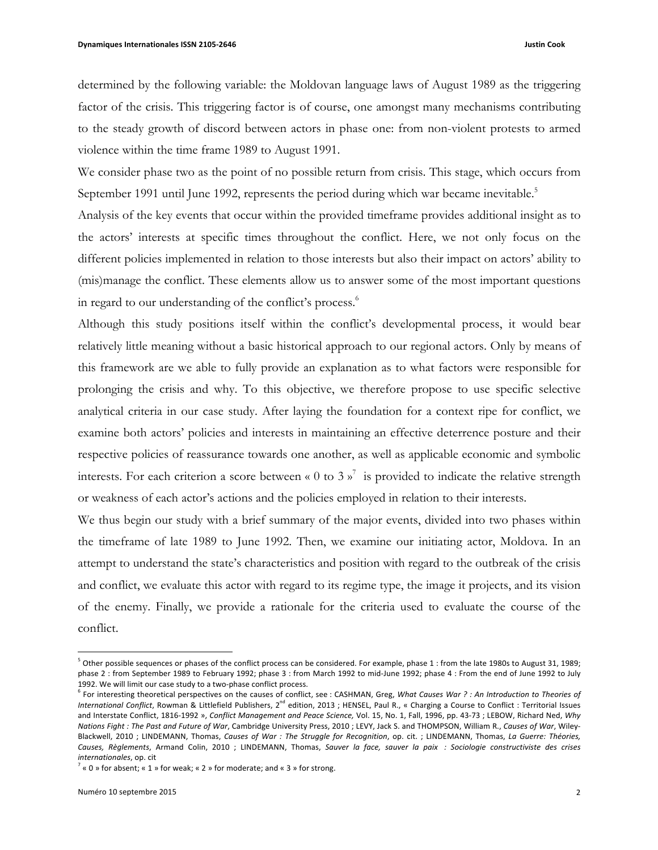determined by the following variable: the Moldovan language laws of August 1989 as the triggering factor of the crisis. This triggering factor is of course, one amongst many mechanisms contributing to the steady growth of discord between actors in phase one: from non-violent protests to armed violence within the time frame 1989 to August 1991.

We consider phase two as the point of no possible return from crisis. This stage, which occurs from September 1991 until June 1992, represents the period during which war became inevitable.<sup>5</sup>

Analysis of the key events that occur within the provided timeframe provides additional insight as to the actors' interests at specific times throughout the conflict. Here, we not only focus on the different policies implemented in relation to those interests but also their impact on actors' ability to (mis)manage the conflict. These elements allow us to answer some of the most important questions in regard to our understanding of the conflict's process.<sup>6</sup>

Although this study positions itself within the conflict's developmental process, it would bear relatively little meaning without a basic historical approach to our regional actors. Only by means of this framework are we able to fully provide an explanation as to what factors were responsible for prolonging the crisis and why. To this objective, we therefore propose to use specific selective analytical criteria in our case study. After laying the foundation for a context ripe for conflict, we examine both actors' policies and interests in maintaining an effective deterrence posture and their respective policies of reassurance towards one another, as well as applicable economic and symbolic interests. For each criterion a score between « 0 to 3  $\mathbf{v}^7$  is provided to indicate the relative strength or weakness of each actor's actions and the policies employed in relation to their interests.

We thus begin our study with a brief summary of the major events, divided into two phases within the timeframe of late 1989 to June 1992. Then, we examine our initiating actor, Moldova. In an attempt to understand the state's characteristics and position with regard to the outbreak of the crisis and conflict, we evaluate this actor with regard to its regime type, the image it projects, and its vision of the enemy. Finally, we provide a rationale for the criteria used to evaluate the course of the conflict.

 $5$  Other possible sequences or phases of the conflict process can be considered. For example, phase 1 : from the late 1980s to August 31, 1989; phase 2 : from September 1989 to February 1992; phase 3 : from March 1992 to mid-June 1992; phase 4 : From the end of June 1992 to July 1992. We will limit our case study to a two-phase conflict process.

<sup>&</sup>lt;sup>6</sup> For interesting theoretical perspectives on the causes of conflict, see : CASHMAN, Greg, *What Causes War* ? *: An Introduction to Theories of* International Conflict, Rowman & Littlefield Publishers, 2<sup>nd</sup> edition, 2013 ; HENSEL, Paul R., « Charging a Course to Conflict : Territorial Issues and Interstate Conflict, 1816-1992 », *Conflict Management and Peace Science*, Vol. 15, No. 1, Fall, 1996, pp. 43-73 ; LEBOW, Richard Ned, *Why Nations Fight* : The Past and Future of War, Cambridge University Press, 2010 ; LEVY, Jack S. and THOMPSON, William R., Causes of War, Wiley-Blackwell, 2010 ; LINDEMANN, Thomas, *Causes of War* : The Struggle for Recognition, op. cit. ; LINDEMANN, Thomas, La Guerre: Théories, Causes, Règlements, Armand Colin, 2010 ; LINDEMANN, Thomas, Sauver la face, sauver la paix : Sociologie constructiviste des crises *internationales*, op. cit

 $7 \times 0 \times 1$  or absent;  $\times 1 \times 1$  or weak;  $\times 2 \times 1$  for moderate; and  $\times 3 \times 1$  for strong.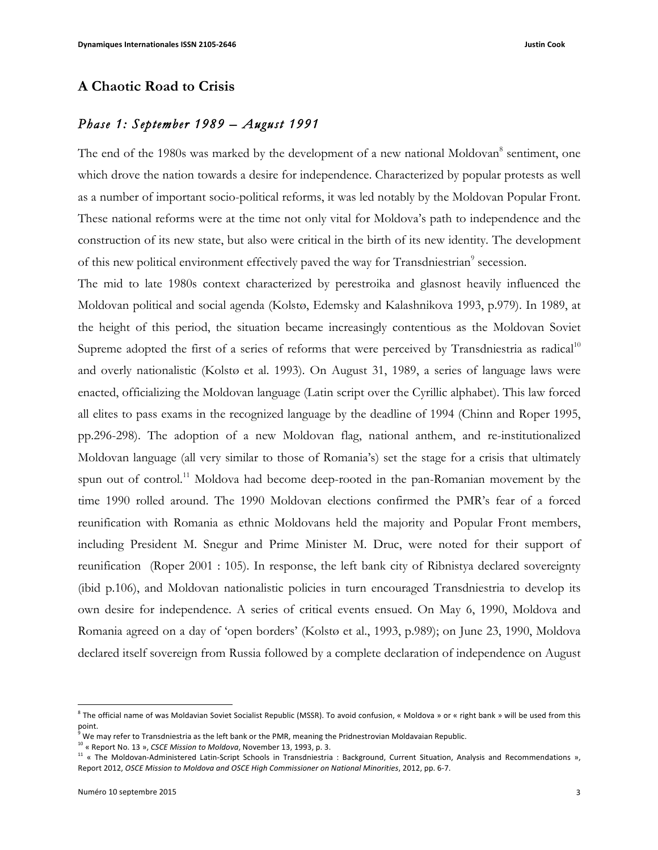## **A Chaotic Road to Crisis**

## *Phase 1: September 1989 – August 1991*

The end of the 1980s was marked by the development of a new national Moldovan<sup>8</sup> sentiment, one which drove the nation towards a desire for independence. Characterized by popular protests as well as a number of important socio-political reforms, it was led notably by the Moldovan Popular Front. These national reforms were at the time not only vital for Moldova's path to independence and the construction of its new state, but also were critical in the birth of its new identity. The development of this new political environment effectively paved the way for Transdniestrian<sup>9</sup> secession.

The mid to late 1980s context characterized by perestroika and glasnost heavily influenced the Moldovan political and social agenda (Kolstø, Edemsky and Kalashnikova 1993, p.979). In 1989, at the height of this period, the situation became increasingly contentious as the Moldovan Soviet Supreme adopted the first of a series of reforms that were perceived by Transdniestria as radical<sup>10</sup> and overly nationalistic (Kolstø et al. 1993). On August 31, 1989, a series of language laws were enacted, officializing the Moldovan language (Latin script over the Cyrillic alphabet). This law forced all elites to pass exams in the recognized language by the deadline of 1994 (Chinn and Roper 1995, pp.296-298). The adoption of a new Moldovan flag, national anthem, and re-institutionalized Moldovan language (all very similar to those of Romania's) set the stage for a crisis that ultimately spun out of control.<sup>11</sup> Moldova had become deep-rooted in the pan-Romanian movement by the time 1990 rolled around. The 1990 Moldovan elections confirmed the PMR's fear of a forced reunification with Romania as ethnic Moldovans held the majority and Popular Front members, including President M. Snegur and Prime Minister M. Druc, were noted for their support of reunification (Roper 2001 : 105). In response, the left bank city of Ribnistya declared sovereignty (ibid p.106), and Moldovan nationalistic policies in turn encouraged Transdniestria to develop its own desire for independence. A series of critical events ensued. On May 6, 1990, Moldova and Romania agreed on a day of 'open borders' (Kolstø et al., 1993, p.989); on June 23, 1990, Moldova declared itself sovereign from Russia followed by a complete declaration of independence on August

 $8$  The official name of was Moldavian Soviet Socialist Republic (MSSR). To avoid confusion, « Moldova » or « right bank » will be used from this point.

We may refer to Transdniestria as the left bank or the PMR, meaning the Pridnestrovian Moldavaian Republic.

<sup>&</sup>lt;sup>10</sup> « Report No. 13 », *CSCE Mission to Moldova*, November 13, 1993, p. 3.

<sup>&</sup>lt;sup>11</sup> « The Moldovan-Administered Latin-Script Schools in Transdniestria : Background, Current Situation, Analysis and Recommendations », Report 2012, *OSCE Mission to Moldova and OSCE High Commissioner on National Minorities*, 2012, pp. 6-7.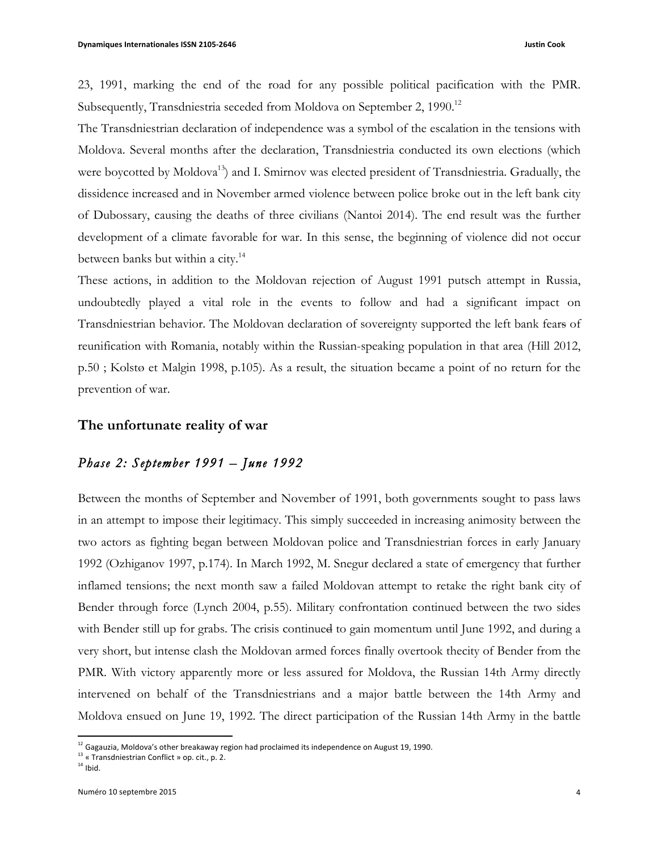23, 1991, marking the end of the road for any possible political pacification with the PMR. Subsequently, Transdniestria seceded from Moldova on September 2, 1990.<sup>12</sup>

The Transdniestrian declaration of independence was a symbol of the escalation in the tensions with Moldova. Several months after the declaration, Transdniestria conducted its own elections (which were boycotted by Moldova<sup>13</sup>) and I. Smirnov was elected president of Transdniestria. Gradually, the dissidence increased and in November armed violence between police broke out in the left bank city of Dubossary, causing the deaths of three civilians (Nantoi 2014). The end result was the further development of a climate favorable for war. In this sense, the beginning of violence did not occur between banks but within a city.<sup>14</sup>

These actions, in addition to the Moldovan rejection of August 1991 putsch attempt in Russia, undoubtedly played a vital role in the events to follow and had a significant impact on Transdniestrian behavior. The Moldovan declaration of sovereignty supported the left bank fears of reunification with Romania, notably within the Russian-speaking population in that area (Hill 2012, p.50 ; Kolstø et Malgin 1998, p.105). As a result, the situation became a point of no return for the prevention of war.

## **The unfortunate reality of war**

## *Phase 2: September 1991 – June 1992*

Between the months of September and November of 1991, both governments sought to pass laws in an attempt to impose their legitimacy. This simply succeeded in increasing animosity between the two actors as fighting began between Moldovan police and Transdniestrian forces in early January 1992 (Ozhiganov 1997, p.174). In March 1992, M. Snegur declared a state of emergency that further inflamed tensions; the next month saw a failed Moldovan attempt to retake the right bank city of Bender through force (Lynch 2004, p.55). Military confrontation continued between the two sides with Bender still up for grabs. The crisis continued to gain momentum until June 1992, and during a very short, but intense clash the Moldovan armed forces finally overtook thecity of Bender from the PMR. With victory apparently more or less assured for Moldova, the Russian 14th Army directly intervened on behalf of the Transdniestrians and a major battle between the 14th Army and Moldova ensued on June 19, 1992. The direct participation of the Russian 14th Army in the battle

 $12$  Gagauzia, Moldova's other breakaway region had proclaimed its independence on August 19, 1990.

<sup>13 «</sup> Transdniestrian Conflict » op. cit., p. 2.

 $14$  Ibid.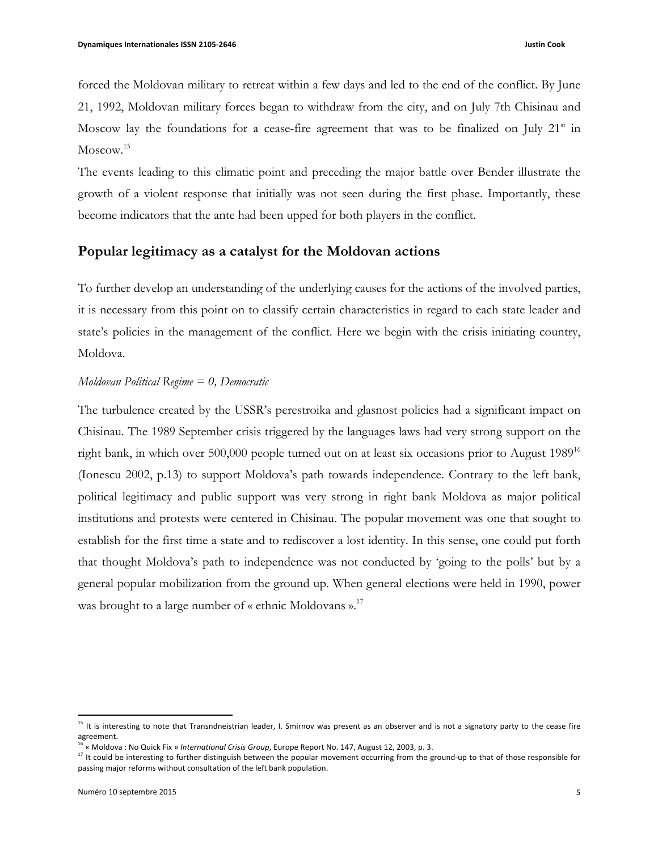forced the Moldovan military to retreat within a few days and led to the end of the conflict. By June 21, 1992, Moldovan military forces began to withdraw from the city, and on July 7th Chisinau and Moscow lay the foundations for a cease-fire agreement that was to be finalized on July  $21<sup>st</sup>$  in Moscow.<sup>15</sup>

The events leading to this climatic point and preceding the major battle over Bender illustrate the growth of a violent response that initially was not seen during the first phase. Importantly, these become indicators that the ante had been upped for both players in the conflict.

## **Popular legitimacy as a catalyst for the Moldovan actions**

To further develop an understanding of the underlying causes for the actions of the involved parties, it is necessary from this point on to classify certain characteristics in regard to each state leader and state's policies in the management of the conflict. Here we begin with the crisis initiating country, Moldova.

#### *Moldovan Political Regime = 0, Democratic*

The turbulence created by the USSR's perestroika and glasnost policies had a significant impact on Chisinau. The 1989 September crisis triggered by the languages laws had very strong support on the right bank, in which over 500,000 people turned out on at least six occasions prior to August 1989<sup>16</sup> (Ionescu 2002, p.13) to support Moldova's path towards independence. Contrary to the left bank, political legitimacy and public support was very strong in right bank Moldova as major political institutions and protests were centered in Chisinau. The popular movement was one that sought to establish for the first time a state and to rediscover a lost identity. In this sense, one could put forth that thought Moldova's path to independence was not conducted by 'going to the polls' but by a general popular mobilization from the ground up. When general elections were held in 1990, power was brought to a large number of « ethnic Moldovans ».<sup>17</sup>

 $15$  It is interesting to note that Transndneistrian leader, I. Smirnov was present as an observer and is not a signatory party to the cease fire agreement.

<sup>&</sup>lt;sup>2</sup> « Moldova : No Quick Fix » *International Crisis Group*, Europe Report No. 147, August 12, 2003, p. 3.

<sup>&</sup>lt;sup>17</sup> It could be interesting to further distinguish between the popular movement occurring from the ground-up to that of those responsible for passing major reforms without consultation of the left bank population.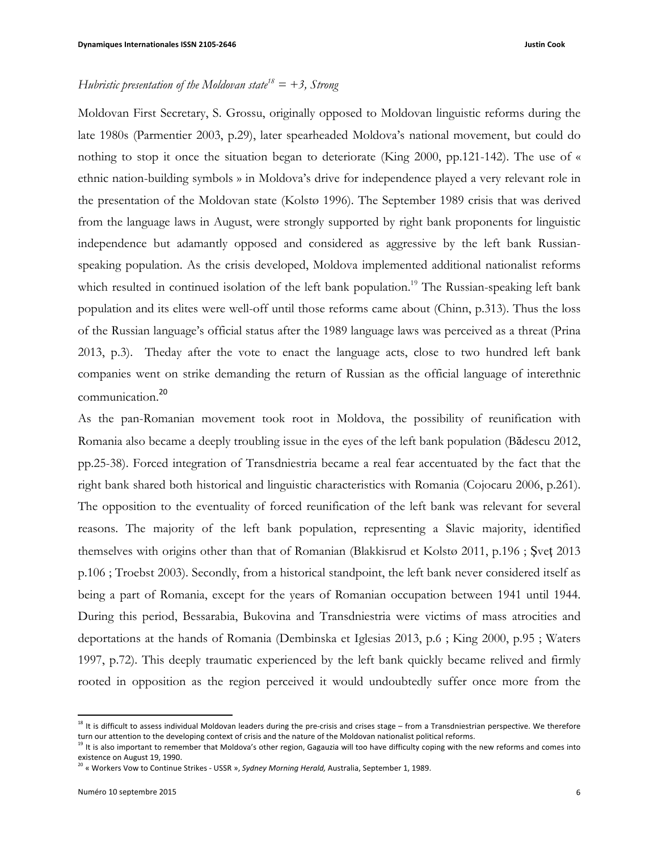## *Hubristic presentation of the Moldovan state*<sup>18</sup> =  $+3$ , *Strong*

Moldovan First Secretary, S. Grossu, originally opposed to Moldovan linguistic reforms during the late 1980s (Parmentier 2003, p.29), later spearheaded Moldova's national movement, but could do nothing to stop it once the situation began to deteriorate (King 2000, pp.121-142). The use of « ethnic nation-building symbols » in Moldova's drive for independence played a very relevant role in the presentation of the Moldovan state (Kolstø 1996). The September 1989 crisis that was derived from the language laws in August, were strongly supported by right bank proponents for linguistic independence but adamantly opposed and considered as aggressive by the left bank Russianspeaking population. As the crisis developed, Moldova implemented additional nationalist reforms which resulted in continued isolation of the left bank population.<sup>19</sup> The Russian-speaking left bank population and its elites were well-off until those reforms came about (Chinn, p.313). Thus the loss of the Russian language's official status after the 1989 language laws was perceived as a threat (Prina 2013, p.3). Theday after the vote to enact the language acts, close to two hundred left bank companies went on strike demanding the return of Russian as the official language of interethnic communication.<sup>20</sup>

As the pan-Romanian movement took root in Moldova, the possibility of reunification with Romania also became a deeply troubling issue in the eyes of the left bank population (Bădescu 2012, pp.25-38). Forced integration of Transdniestria became a real fear accentuated by the fact that the right bank shared both historical and linguistic characteristics with Romania (Cojocaru 2006, p.261). The opposition to the eventuality of forced reunification of the left bank was relevant for several reasons. The majority of the left bank population, representing a Slavic majority, identified themselves with origins other than that of Romanian (Blakkisrud et Kolstø 2011, p.196 ; Şveţ 2013 p.106 ; Troebst 2003). Secondly, from a historical standpoint, the left bank never considered itself as being a part of Romania, except for the years of Romanian occupation between 1941 until 1944. During this period, Bessarabia, Bukovina and Transdniestria were victims of mass atrocities and deportations at the hands of Romania (Dembinska et Iglesias 2013, p.6 ; King 2000, p.95 ; Waters 1997, p.72). This deeply traumatic experienced by the left bank quickly became relived and firmly rooted in opposition as the region perceived it would undoubtedly suffer once more from the

 $18$  It is difficult to assess individual Moldovan leaders during the pre-crisis and crises stage – from a Transdniestrian perspective. We therefore turn our attention to the developing context of crisis and the nature of the Moldovan nationalist political reforms.

 $19$  It is also important to remember that Moldova's other region, Gagauzia will too have difficulty coping with the new reforms and comes into existence on August 19, 1990.

<sup>&</sup>lt;sup>20</sup> « Workers Vow to Continue Strikes - USSR », *Sydney Morning Herald*, Australia, September 1, 1989.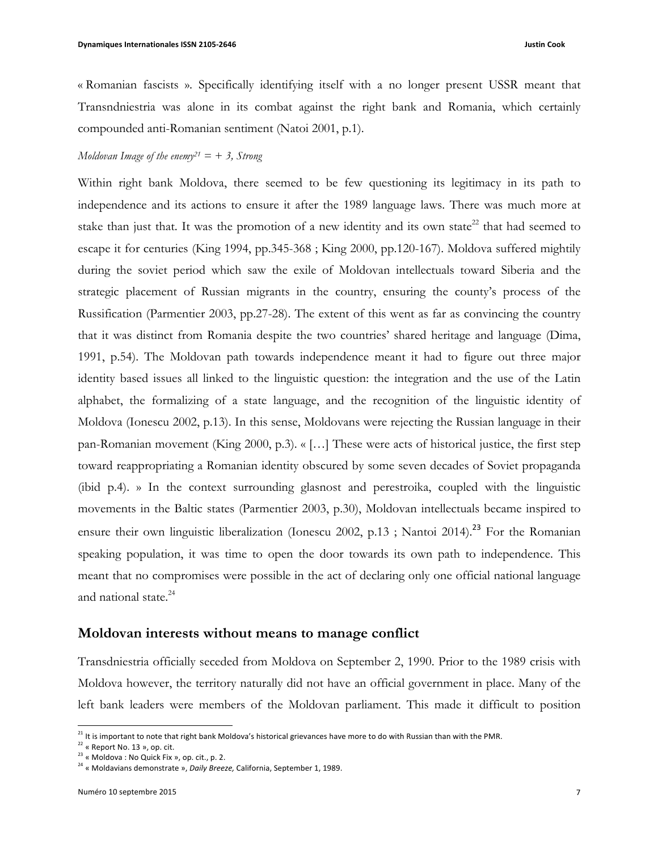« Romanian fascists ». Specifically identifying itself with a no longer present USSR meant that Transndniestria was alone in its combat against the right bank and Romania, which certainly compounded anti-Romanian sentiment (Natoi 2001, p.1).

## *Moldovan Image of the enemy21 = + 3, Strong*

Within right bank Moldova, there seemed to be few questioning its legitimacy in its path to independence and its actions to ensure it after the 1989 language laws. There was much more at stake than just that. It was the promotion of a new identity and its own state<sup>22</sup> that had seemed to escape it for centuries (King 1994, pp.345-368 ; King 2000, pp.120-167). Moldova suffered mightily during the soviet period which saw the exile of Moldovan intellectuals toward Siberia and the strategic placement of Russian migrants in the country, ensuring the county's process of the Russification (Parmentier 2003, pp.27-28). The extent of this went as far as convincing the country that it was distinct from Romania despite the two countries' shared heritage and language (Dima, 1991, p.54). The Moldovan path towards independence meant it had to figure out three major identity based issues all linked to the linguistic question: the integration and the use of the Latin alphabet, the formalizing of a state language, and the recognition of the linguistic identity of Moldova (Ionescu 2002, p.13). In this sense, Moldovans were rejecting the Russian language in their pan-Romanian movement (King 2000, p.3). « […] These were acts of historical justice, the first step toward reappropriating a Romanian identity obscured by some seven decades of Soviet propaganda (ibid p.4). » In the context surrounding glasnost and perestroika, coupled with the linguistic movements in the Baltic states (Parmentier 2003, p.30), Moldovan intellectuals became inspired to ensure their own linguistic liberalization (Ionescu 2002, p.13; Nantoi 2014).<sup>23</sup> For the Romanian speaking population, it was time to open the door towards its own path to independence. This meant that no compromises were possible in the act of declaring only one official national language and national state.<sup>24</sup>

#### **Moldovan interests without means to manage conflict**

Transdniestria officially seceded from Moldova on September 2, 1990. Prior to the 1989 crisis with Moldova however, the territory naturally did not have an official government in place. Many of the left bank leaders were members of the Moldovan parliament. This made it difficult to position

 

 $21$  It is important to note that right bank Moldova's historical grievances have more to do with Russian than with the PMR.

 $22$  « Report No. 13 », op. cit.

 $23$  « Moldova : No Quick Fix », op. cit., p. 2.

<sup>&</sup>lt;sup>24</sup> « Moldavians demonstrate », *Daily Breeze*, California, September 1, 1989.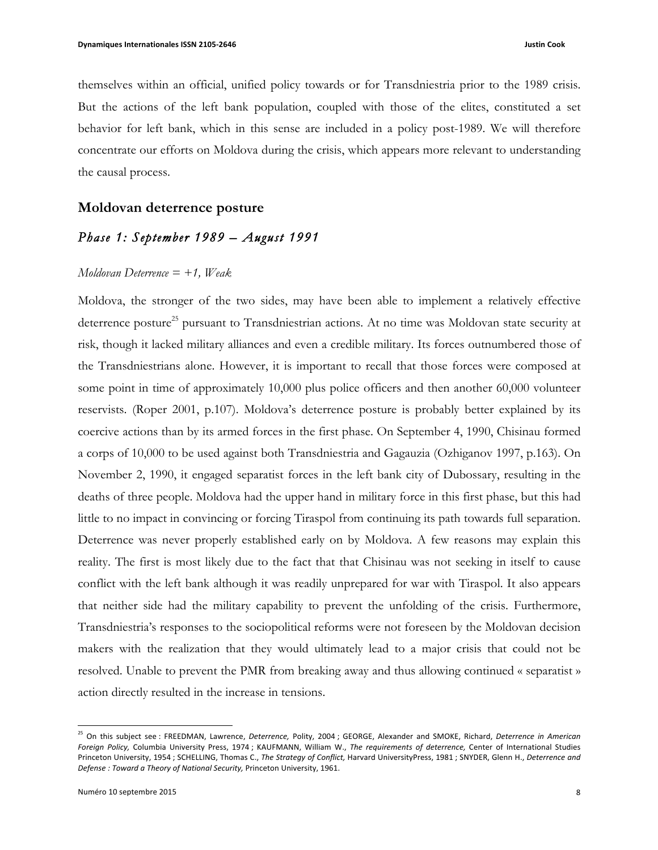themselves within an official, unified policy towards or for Transdniestria prior to the 1989 crisis. But the actions of the left bank population, coupled with those of the elites, constituted a set behavior for left bank, which in this sense are included in a policy post-1989. We will therefore concentrate our efforts on Moldova during the crisis, which appears more relevant to understanding the causal process.

## **Moldovan deterrence posture**

## *Phase 1: September 1989 – August 1991*

#### *Moldovan Deterrence = +1, Weak*

Moldova, the stronger of the two sides, may have been able to implement a relatively effective deterrence posture<sup>25</sup> pursuant to Transdniestrian actions. At no time was Moldovan state security at risk, though it lacked military alliances and even a credible military. Its forces outnumbered those of the Transdniestrians alone. However, it is important to recall that those forces were composed at some point in time of approximately 10,000 plus police officers and then another 60,000 volunteer reservists. (Roper 2001, p.107). Moldova's deterrence posture is probably better explained by its coercive actions than by its armed forces in the first phase. On September 4, 1990, Chisinau formed a corps of 10,000 to be used against both Transdniestria and Gagauzia (Ozhiganov 1997, p.163). On November 2, 1990, it engaged separatist forces in the left bank city of Dubossary, resulting in the deaths of three people. Moldova had the upper hand in military force in this first phase, but this had little to no impact in convincing or forcing Tiraspol from continuing its path towards full separation. Deterrence was never properly established early on by Moldova. A few reasons may explain this reality. The first is most likely due to the fact that that Chisinau was not seeking in itself to cause conflict with the left bank although it was readily unprepared for war with Tiraspol. It also appears that neither side had the military capability to prevent the unfolding of the crisis. Furthermore, Transdniestria's responses to the sociopolitical reforms were not foreseen by the Moldovan decision makers with the realization that they would ultimately lead to a major crisis that could not be resolved. Unable to prevent the PMR from breaking away and thus allowing continued « separatist » action directly resulted in the increase in tensions.

 

<sup>&</sup>lt;sup>25</sup> On this subject see : FREEDMAN, Lawrence, *Deterrence*, Polity, 2004 ; GEORGE, Alexander and SMOKE, Richard, Deterrence in American Foreign Policy, Columbia University Press, 1974; KAUFMANN, William W., The requirements of deterrence, Center of International Studies Princeton University, 1954 ; SCHELLING, Thomas C., The Strategy of Conflict, Harvard UniversityPress, 1981 ; SNYDER, Glenn H., Deterrence and Defense : Toward a Theory of National Security, Princeton University, 1961.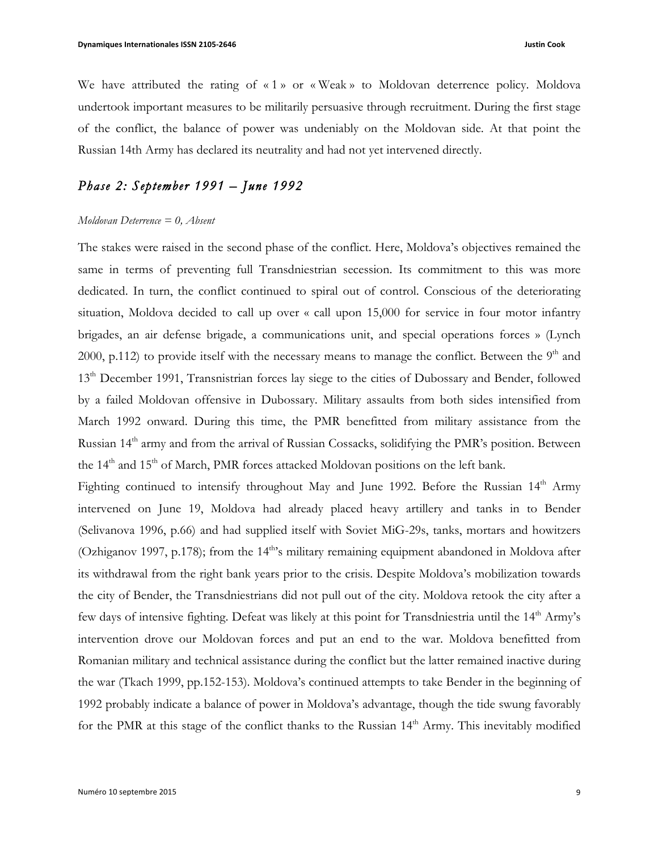We have attributed the rating of «1» or «Weak» to Moldovan deterrence policy. Moldova undertook important measures to be militarily persuasive through recruitment. During the first stage of the conflict, the balance of power was undeniably on the Moldovan side. At that point the Russian 14th Army has declared its neutrality and had not yet intervened directly.

## *Phase 2: September 1991 – June 1992*

#### *Moldovan Deterrence = 0, Absent*

The stakes were raised in the second phase of the conflict. Here, Moldova's objectives remained the same in terms of preventing full Transdniestrian secession. Its commitment to this was more dedicated. In turn, the conflict continued to spiral out of control. Conscious of the deteriorating situation, Moldova decided to call up over « call upon 15,000 for service in four motor infantry brigades, an air defense brigade, a communications unit, and special operations forces » (Lynch 2000, p.112) to provide itself with the necessary means to manage the conflict. Between the  $9<sup>th</sup>$  and 13<sup>th</sup> December 1991, Transnistrian forces lay siege to the cities of Dubossary and Bender, followed by a failed Moldovan offensive in Dubossary. Military assaults from both sides intensified from March 1992 onward. During this time, the PMR benefitted from military assistance from the Russian 14<sup>th</sup> army and from the arrival of Russian Cossacks, solidifying the PMR's position. Between the 14<sup>th</sup> and 15<sup>th</sup> of March, PMR forces attacked Moldovan positions on the left bank.

Fighting continued to intensify throughout May and June 1992. Before the Russian  $14<sup>th</sup>$  Army intervened on June 19, Moldova had already placed heavy artillery and tanks in to Bender (Selivanova 1996, p.66) and had supplied itself with Soviet MiG-29s, tanks, mortars and howitzers (Ozhiganov 1997, p.178); from the 14<sup>th</sup>'s military remaining equipment abandoned in Moldova after its withdrawal from the right bank years prior to the crisis. Despite Moldova's mobilization towards the city of Bender, the Transdniestrians did not pull out of the city. Moldova retook the city after a few days of intensive fighting. Defeat was likely at this point for Transdniestria until the 14<sup>th</sup> Army's intervention drove our Moldovan forces and put an end to the war. Moldova benefitted from Romanian military and technical assistance during the conflict but the latter remained inactive during the war (Tkach 1999, pp.152-153). Moldova's continued attempts to take Bender in the beginning of 1992 probably indicate a balance of power in Moldova's advantage, though the tide swung favorably for the PMR at this stage of the conflict thanks to the Russian 14<sup>th</sup> Army. This inevitably modified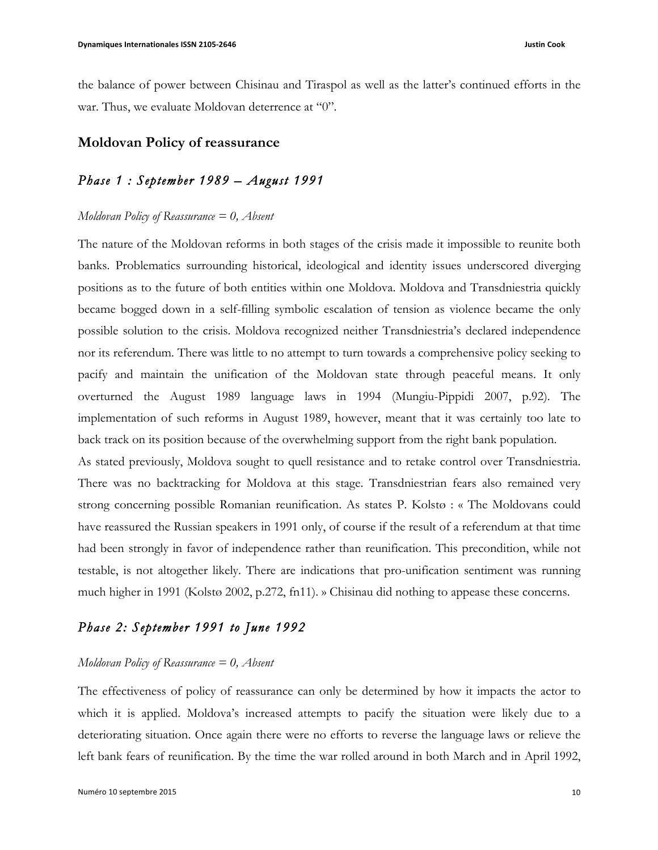the balance of power between Chisinau and Tiraspol as well as the latter's continued efforts in the war. Thus, we evaluate Moldovan deterrence at "0".

## **Moldovan Policy of reassurance**

## *Phase 1 : September 1989 – August 1991*

#### *Moldovan Policy of Reassurance = 0, Absent*

The nature of the Moldovan reforms in both stages of the crisis made it impossible to reunite both banks. Problematics surrounding historical, ideological and identity issues underscored diverging positions as to the future of both entities within one Moldova. Moldova and Transdniestria quickly became bogged down in a self-filling symbolic escalation of tension as violence became the only possible solution to the crisis. Moldova recognized neither Transdniestria's declared independence nor its referendum. There was little to no attempt to turn towards a comprehensive policy seeking to pacify and maintain the unification of the Moldovan state through peaceful means. It only overturned the August 1989 language laws in 1994 (Mungiu-Pippidi 2007, p.92). The implementation of such reforms in August 1989, however, meant that it was certainly too late to back track on its position because of the overwhelming support from the right bank population.

As stated previously, Moldova sought to quell resistance and to retake control over Transdniestria. There was no backtracking for Moldova at this stage. Transdniestrian fears also remained very strong concerning possible Romanian reunification. As states P. Kolstø : « The Moldovans could have reassured the Russian speakers in 1991 only, of course if the result of a referendum at that time had been strongly in favor of independence rather than reunification. This precondition, while not testable, is not altogether likely. There are indications that pro-unification sentiment was running much higher in 1991 (Kolstø 2002, p.272, fn11). » Chisinau did nothing to appease these concerns.

## *Phase 2: September 1991 to June 1992*

## *Moldovan Policy of Reassurance = 0, Absent*

The effectiveness of policy of reassurance can only be determined by how it impacts the actor to which it is applied. Moldova's increased attempts to pacify the situation were likely due to a deteriorating situation. Once again there were no efforts to reverse the language laws or relieve the left bank fears of reunification. By the time the war rolled around in both March and in April 1992,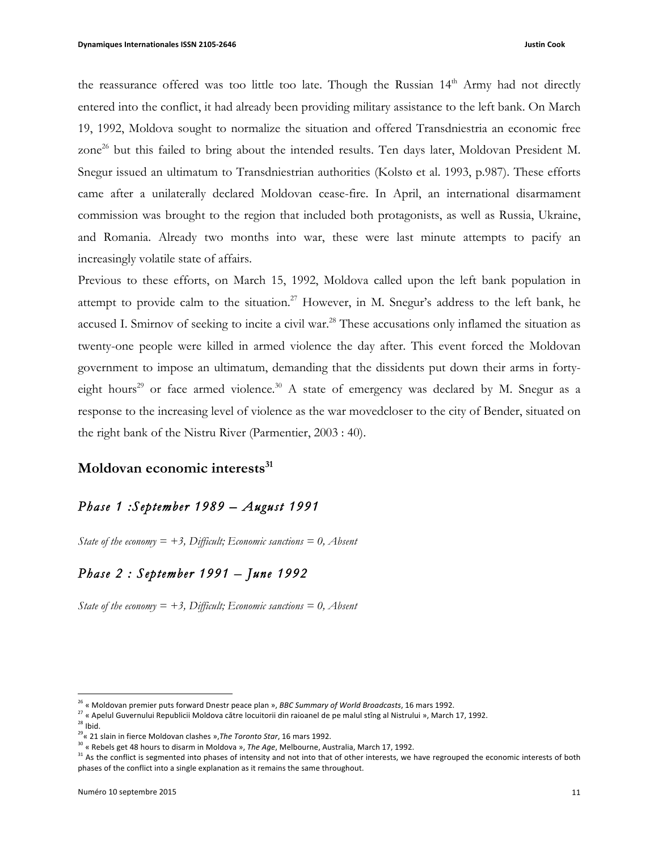the reassurance offered was too little too late. Though the Russian  $14<sup>th</sup>$  Army had not directly entered into the conflict, it had already been providing military assistance to the left bank. On March 19, 1992, Moldova sought to normalize the situation and offered Transdniestria an economic free zone<sup>26</sup> but this failed to bring about the intended results. Ten days later, Moldovan President M. Snegur issued an ultimatum to Transdniestrian authorities (Kolstø et al. 1993, p.987). These efforts came after a unilaterally declared Moldovan cease-fire. In April, an international disarmament commission was brought to the region that included both protagonists, as well as Russia, Ukraine, and Romania. Already two months into war, these were last minute attempts to pacify an increasingly volatile state of affairs.

Previous to these efforts, on March 15, 1992, Moldova called upon the left bank population in attempt to provide calm to the situation.<sup>27</sup> However, in M. Snegur's address to the left bank, he accused I. Smirnov of seeking to incite a civil war.<sup>28</sup> These accusations only inflamed the situation as twenty-one people were killed in armed violence the day after. This event forced the Moldovan government to impose an ultimatum, demanding that the dissidents put down their arms in fortyeight hours<sup>29</sup> or face armed violence.<sup>30</sup> A state of emergency was declared by M. Snegur as a response to the increasing level of violence as the war movedcloser to the city of Bender, situated on the right bank of the Nistru River (Parmentier, 2003 : 40).

## **Moldovan economic interests**<sup>31</sup>

## *Phase 1 :September 1989 – August 1991*

*State of the economy = +3, Difficult; Economic sanctions = 0, Absent*

## *Phase 2 : September 1991 – June 1992*

*State of the economy*  $= +3$ , *Difficult*; *Economic sanctions*  $= 0$ , *Absent* 

 

<sup>&</sup>lt;sup>26</sup> « Moldovan premier puts forward Dnestr peace plan », *BBC Summary of World Broadcasts*, 16 mars 1992.

 $27$  « Apelul Guvernului Republicii Moldova către locuitorii din raioanel de pe malul stîng al Nistrului », March 17, 1992.

 $28$  Ibid.

<sup>&</sup>lt;sup>29</sup>« 21 slain in fierce Moldovan clashes », The Toronto Star, 16 mars 1992.

<sup>&</sup>lt;sup>30</sup> « Rebels get 48 hours to disarm in Moldova », The Age, Melbourne, Australia, March 17, 1992.

<sup>31</sup> As the conflict is segmented into phases of intensity and not into that of other interests, we have regrouped the economic interests of both phases of the conflict into a single explanation as it remains the same throughout.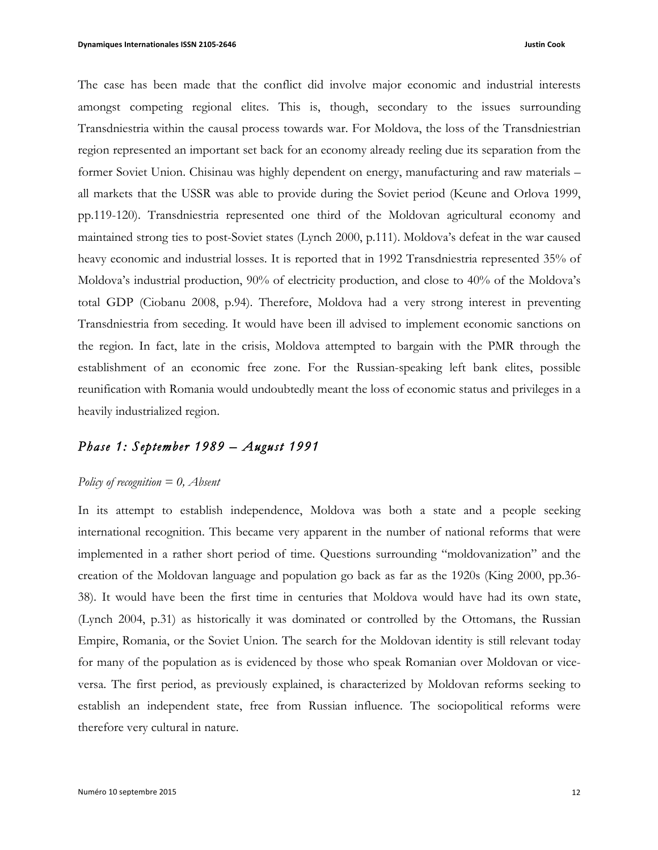The case has been made that the conflict did involve major economic and industrial interests amongst competing regional elites. This is, though, secondary to the issues surrounding Transdniestria within the causal process towards war. For Moldova, the loss of the Transdniestrian region represented an important set back for an economy already reeling due its separation from the former Soviet Union. Chisinau was highly dependent on energy, manufacturing and raw materials – all markets that the USSR was able to provide during the Soviet period (Keune and Orlova 1999, pp.119-120). Transdniestria represented one third of the Moldovan agricultural economy and maintained strong ties to post-Soviet states (Lynch 2000, p.111). Moldova's defeat in the war caused heavy economic and industrial losses. It is reported that in 1992 Transdniestria represented 35% of Moldova's industrial production, 90% of electricity production, and close to 40% of the Moldova's total GDP (Ciobanu 2008, p.94). Therefore, Moldova had a very strong interest in preventing Transdniestria from seceding. It would have been ill advised to implement economic sanctions on the region. In fact, late in the crisis, Moldova attempted to bargain with the PMR through the establishment of an economic free zone. For the Russian-speaking left bank elites, possible reunification with Romania would undoubtedly meant the loss of economic status and privileges in a heavily industrialized region.

## *Phase 1: September 1989 – August 1991*

## *Policy of recognition = 0, Absent*

In its attempt to establish independence, Moldova was both a state and a people seeking international recognition. This became very apparent in the number of national reforms that were implemented in a rather short period of time. Questions surrounding "moldovanization" and the creation of the Moldovan language and population go back as far as the 1920s (King 2000, pp.36- 38). It would have been the first time in centuries that Moldova would have had its own state, (Lynch 2004, p.31) as historically it was dominated or controlled by the Ottomans, the Russian Empire, Romania, or the Soviet Union. The search for the Moldovan identity is still relevant today for many of the population as is evidenced by those who speak Romanian over Moldovan or viceversa. The first period, as previously explained, is characterized by Moldovan reforms seeking to establish an independent state, free from Russian influence. The sociopolitical reforms were therefore very cultural in nature.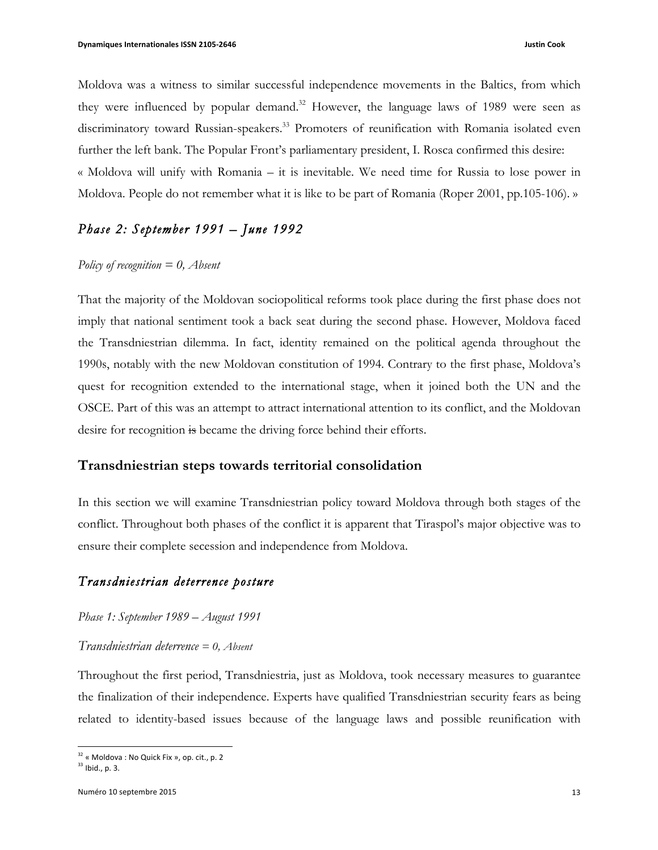Moldova was a witness to similar successful independence movements in the Baltics, from which they were influenced by popular demand.<sup>32</sup> However, the language laws of 1989 were seen as discriminatory toward Russian-speakers.<sup>33</sup> Promoters of reunification with Romania isolated even further the left bank. The Popular Front's parliamentary president, I. Rosca confirmed this desire: « Moldova will unify with Romania – it is inevitable. We need time for Russia to lose power in Moldova. People do not remember what it is like to be part of Romania (Roper 2001, pp.105-106). »

## *Phase 2: September 1991 – June 1992*

## *Policy of recognition = 0, Absent*

That the majority of the Moldovan sociopolitical reforms took place during the first phase does not imply that national sentiment took a back seat during the second phase. However, Moldova faced the Transdniestrian dilemma. In fact, identity remained on the political agenda throughout the 1990s, notably with the new Moldovan constitution of 1994. Contrary to the first phase, Moldova's quest for recognition extended to the international stage, when it joined both the UN and the OSCE. Part of this was an attempt to attract international attention to its conflict, and the Moldovan desire for recognition is became the driving force behind their efforts.

## **Transdniestrian steps towards territorial consolidation**

In this section we will examine Transdniestrian policy toward Moldova through both stages of the conflict. Throughout both phases of the conflict it is apparent that Tiraspol's major objective was to ensure their complete secession and independence from Moldova.

## *Transdniestrian deterrence posture*

*Phase 1: September 1989 – August 1991* 

#### *Transdniestrian deterrence = 0, Absent*

Throughout the first period, Transdniestria, just as Moldova, took necessary measures to guarantee the finalization of their independence. Experts have qualified Transdniestrian security fears as being related to identity-based issues because of the language laws and possible reunification with

<sup>&</sup>lt;u> 1989 - Johann Stein, markin film yn y breninn y breninn y breninn y breninn y breninn y breninn y breninn y b</u>  $32 \times 32$  Moldova : No Quick Fix », op. cit., p. 2

 $33$  Ibid., p. 3.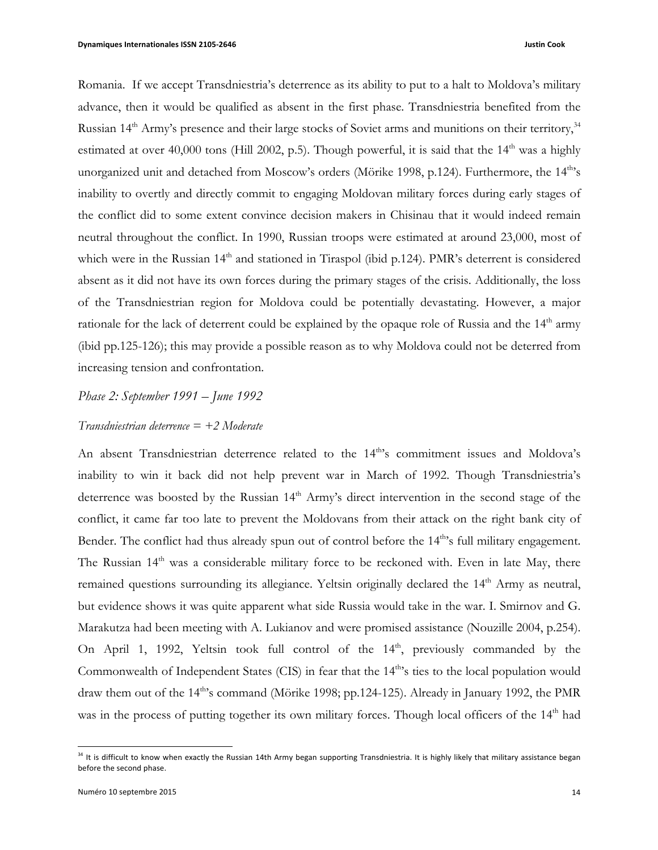Romania. If we accept Transdniestria's deterrence as its ability to put to a halt to Moldova's military advance, then it would be qualified as absent in the first phase. Transdniestria benefited from the Russian 14<sup>th</sup> Army's presence and their large stocks of Soviet arms and munitions on their territory,<sup>34</sup> estimated at over 40,000 tons (Hill 2002, p.5). Though powerful, it is said that the  $14<sup>th</sup>$  was a highly unorganized unit and detached from Moscow's orders (Mörike 1998, p.124). Furthermore, the 14<sup>th</sup>'s inability to overtly and directly commit to engaging Moldovan military forces during early stages of the conflict did to some extent convince decision makers in Chisinau that it would indeed remain neutral throughout the conflict. In 1990, Russian troops were estimated at around 23,000, most of which were in the Russian 14<sup>th</sup> and stationed in Tiraspol (ibid p.124). PMR's deterrent is considered absent as it did not have its own forces during the primary stages of the crisis. Additionally, the loss of the Transdniestrian region for Moldova could be potentially devastating. However, a major rationale for the lack of deterrent could be explained by the opaque role of Russia and the  $14<sup>th</sup>$  army (ibid pp.125-126); this may provide a possible reason as to why Moldova could not be deterred from increasing tension and confrontation.

## *Phase 2: September 1991 – June 1992*

### *Transdniestrian deterrence = +2 Moderate*

An absent Transdniestrian deterrence related to the 14<sup>th</sup>'s commitment issues and Moldova's inability to win it back did not help prevent war in March of 1992. Though Transdniestria's deterrence was boosted by the Russian 14<sup>th</sup> Army's direct intervention in the second stage of the conflict, it came far too late to prevent the Moldovans from their attack on the right bank city of Bender. The conflict had thus already spun out of control before the  $14<sup>th</sup>$ s full military engagement. The Russian 14<sup>th</sup> was a considerable military force to be reckoned with. Even in late May, there remained questions surrounding its allegiance. Yeltsin originally declared the 14<sup>th</sup> Army as neutral, but evidence shows it was quite apparent what side Russia would take in the war. I. Smirnov and G. Marakutza had been meeting with A. Lukianov and were promised assistance (Nouzille 2004, p.254). On April 1, 1992, Yeltsin took full control of the 14<sup>th</sup>, previously commanded by the Commonwealth of Independent States (CIS) in fear that the 14<sup>th</sup>'s ties to the local population would draw them out of the 14<sup>th</sup>'s command (Mörike 1998; pp.124-125). Already in January 1992, the PMR was in the process of putting together its own military forces. Though local officers of the 14<sup>th</sup> had

 $34$  It is difficult to know when exactly the Russian 14th Army began supporting Transdniestria. It is highly likely that military assistance began before the second phase.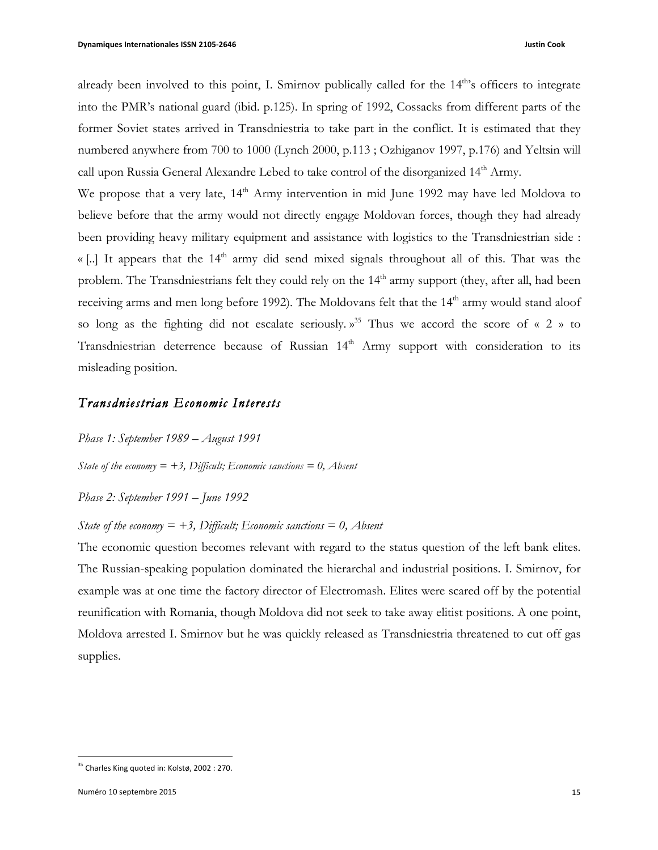already been involved to this point, I. Smirnov publically called for the  $14<sup>th</sup>$ s officers to integrate into the PMR's national guard (ibid. p.125). In spring of 1992, Cossacks from different parts of the former Soviet states arrived in Transdniestria to take part in the conflict. It is estimated that they numbered anywhere from 700 to 1000 (Lynch 2000, p.113 ; Ozhiganov 1997, p.176) and Yeltsin will call upon Russia General Alexandre Lebed to take control of the disorganized 14<sup>th</sup> Army.

We propose that a very late,  $14<sup>th</sup>$  Army intervention in mid June 1992 may have led Moldova to believe before that the army would not directly engage Moldovan forces, though they had already been providing heavy military equipment and assistance with logistics to the Transdniestrian side : « [..] It appears that the  $14<sup>th</sup>$  army did send mixed signals throughout all of this. That was the problem. The Transdniestrians felt they could rely on the 14<sup>th</sup> army support (they, after all, had been receiving arms and men long before 1992). The Moldovans felt that the 14<sup>th</sup> army would stand aloof so long as the fighting did not escalate seriously.  $v^{35}$  Thus we accord the score of « 2 » to Transdniestrian deterrence because of Russian 14<sup>th</sup> Army support with consideration to its misleading position.

## *Transdniestrian Economic Interests*

*Phase 1: September 1989 – August 1991* 

*State of the economy*  $= +3$ , *Difficult*; *Economic sanctions*  $= 0$ , *Absent* 

*Phase 2: September 1991 – June 1992* 

#### *State* of the economy  $= +3$ , *Difficult*; *Economic sanctions*  $= 0$ , *Absent*

The economic question becomes relevant with regard to the status question of the left bank elites. The Russian-speaking population dominated the hierarchal and industrial positions. I. Smirnov, for example was at one time the factory director of Electromash. Elites were scared off by the potential reunification with Romania, though Moldova did not seek to take away elitist positions. A one point, Moldova arrested I. Smirnov but he was quickly released as Transdniestria threatened to cut off gas supplies.

<sup>&</sup>lt;u> 1989 - Johann Stein, markin film yn y breninn y breninn y breninn y breninn y breninn y breninn y breninn y b</u>  $35$  Charles King quoted in: Kolstø, 2002 : 270.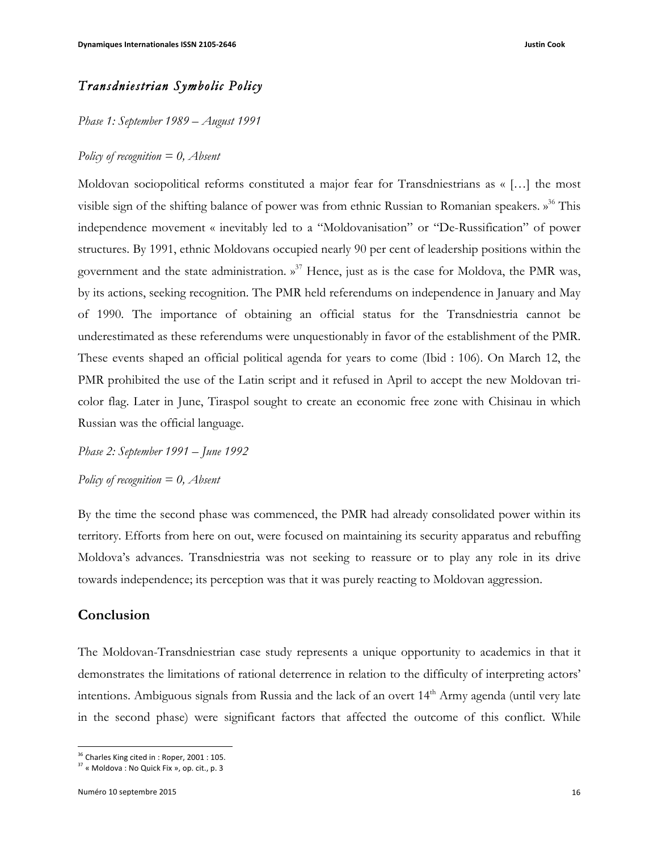## *Transdniestrian Symbolic Policy*

*Phase 1: September 1989 – August 1991* 

#### *Policy of recognition = 0, Absent*

Moldovan sociopolitical reforms constituted a major fear for Transdniestrians as « […] the most visible sign of the shifting balance of power was from ethnic Russian to Romanian speakers. »<sup>36</sup> This independence movement « inevitably led to a "Moldovanisation" or "De-Russification" of power structures. By 1991, ethnic Moldovans occupied nearly 90 per cent of leadership positions within the government and the state administration.  $v^{37}$  Hence, just as is the case for Moldova, the PMR was, by its actions, seeking recognition. The PMR held referendums on independence in January and May of 1990. The importance of obtaining an official status for the Transdniestria cannot be underestimated as these referendums were unquestionably in favor of the establishment of the PMR. These events shaped an official political agenda for years to come (Ibid : 106). On March 12, the PMR prohibited the use of the Latin script and it refused in April to accept the new Moldovan tricolor flag. Later in June, Tiraspol sought to create an economic free zone with Chisinau in which Russian was the official language.

*Phase 2: September 1991 – June 1992 Policy of recognition = 0, Absent*

By the time the second phase was commenced, the PMR had already consolidated power within its territory. Efforts from here on out, were focused on maintaining its security apparatus and rebuffing Moldova's advances. Transdniestria was not seeking to reassure or to play any role in its drive towards independence; its perception was that it was purely reacting to Moldovan aggression.

## **Conclusion**

The Moldovan-Transdniestrian case study represents a unique opportunity to academics in that it demonstrates the limitations of rational deterrence in relation to the difficulty of interpreting actors' intentions. Ambiguous signals from Russia and the lack of an overt 14<sup>th</sup> Army agenda (until very late in the second phase) were significant factors that affected the outcome of this conflict. While

<sup>&</sup>lt;u> 1989 - Johann Stein, fransk politik (d. 1989)</u> <sup>36</sup> Charles King cited in : Roper, 2001 : 105.

 $37$  « Moldova : No Quick Fix », op. cit., p. 3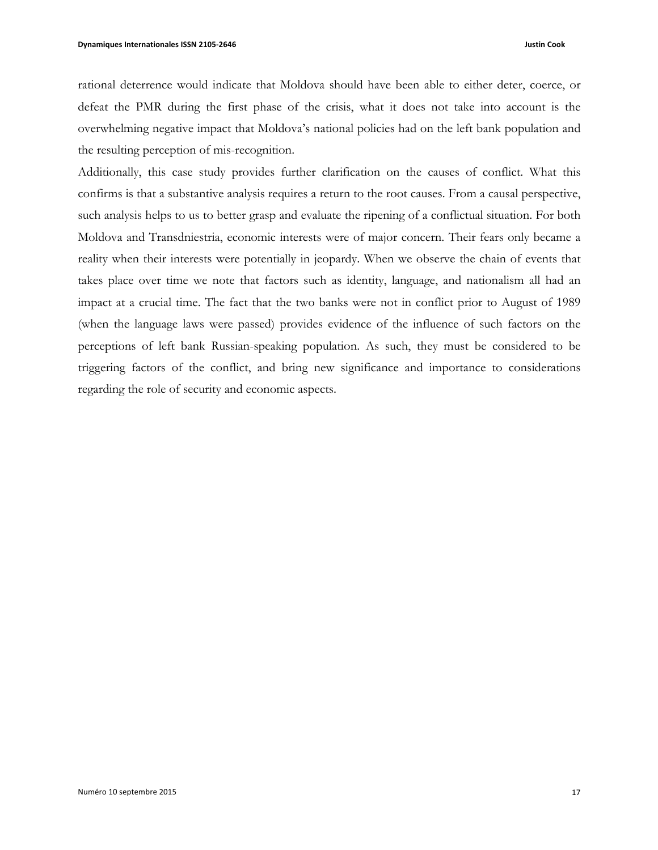rational deterrence would indicate that Moldova should have been able to either deter, coerce, or defeat the PMR during the first phase of the crisis, what it does not take into account is the overwhelming negative impact that Moldova's national policies had on the left bank population and the resulting perception of mis-recognition.

Additionally, this case study provides further clarification on the causes of conflict. What this confirms is that a substantive analysis requires a return to the root causes. From a causal perspective, such analysis helps to us to better grasp and evaluate the ripening of a conflictual situation. For both Moldova and Transdniestria, economic interests were of major concern. Their fears only became a reality when their interests were potentially in jeopardy. When we observe the chain of events that takes place over time we note that factors such as identity, language, and nationalism all had an impact at a crucial time. The fact that the two banks were not in conflict prior to August of 1989 (when the language laws were passed) provides evidence of the influence of such factors on the perceptions of left bank Russian-speaking population. As such, they must be considered to be triggering factors of the conflict, and bring new significance and importance to considerations regarding the role of security and economic aspects.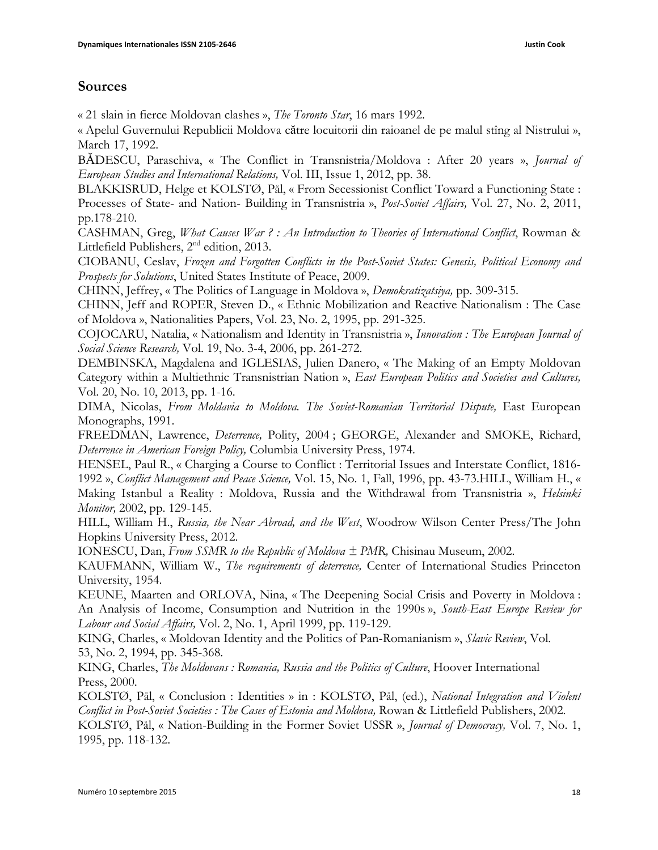## **Sources**

« 21 slain in fierce Moldovan clashes », *The Toronto Star*, 16 mars 1992.

« Apelul Guvernului Republicii Moldova către locuitorii din raioanel de pe malul stîng al Nistrului », March 17, 1992.

BĂDESCU, Paraschiva, « The Conflict in Transnistria/Moldova : After 20 years », *Journal of European Studies and International Relations,* Vol. III, Issue 1, 2012, pp. 38.

BLAKKISRUD, Helge et KOLSTØ, Pål, « From Secessionist Conflict Toward a Functioning State : Processes of State- and Nation- Building in Transnistria », *Post-Soviet Affairs,* Vol. 27, No. 2, 2011, pp.178-210.

CASHMAN, Greg, *What Causes War ? : An Introduction to Theories of International Conflict*, Rowman & Littlefield Publishers,  $2<sup>nd</sup>$  edition, 2013.

CIOBANU, Ceslav, *Frozen and Forgotten Conflicts in the Post-Soviet States: Genesis, Political Economy and Prospects for Solutions*, United States Institute of Peace, 2009.

CHINN, Jeffrey, « The Politics of Language in Moldova », *Demokratizatsiya,* pp. 309-315.

CHINN, Jeff and ROPER, Steven D., « Ethnic Mobilization and Reactive Nationalism : The Case of Moldova », Nationalities Papers, Vol. 23, No. 2, 1995, pp. 291-325.

COJOCARU, Natalia, « Nationalism and Identity in Transnistria », *Innovation : The European Journal of Social Science Research,* Vol. 19, No. 3-4, 2006, pp. 261-272.

DEMBINSKA, Magdalena and IGLESIAS, Julien Danero, « The Making of an Empty Moldovan Category within a Multiethnic Transnistrian Nation », *East European Politics and Societies and Cultures,*  Vol. 20, No. 10, 2013, pp. 1-16.

DIMA, Nicolas, From Moldavia to Moldova. The Soviet-Romanian Territorial Dispute, East European Monographs, 1991.

FREEDMAN, Lawrence, *Deterrence,* Polity, 2004 ; GEORGE, Alexander and SMOKE, Richard, *Deterrence in American Foreign Policy,* Columbia University Press, 1974.

HENSEL, Paul R., « Charging a Course to Conflict : Territorial Issues and Interstate Conflict, 1816- 1992 », *Conflict Management and Peace Science,* Vol. 15, No. 1, Fall, 1996, pp. 43-73.HILL, William H., « Making Istanbul a Reality : Moldova, Russia and the Withdrawal from Transnistria », *Helsinki Monitor,* 2002, pp. 129-145.

HILL, William H., *Russia, the Near Abroad, and the West*, Woodrow Wilson Center Press/The John Hopkins University Press, 2012.

IONESCU, Dan, *From SSMR to the Republic of Moldova ± PMR,* Chisinau Museum, 2002.

KAUFMANN, William W., *The requirements of deterrence,* Center of International Studies Princeton University, 1954.

KEUNE, Maarten and ORLOVA, Nina, « The Deepening Social Crisis and Poverty in Moldova : An Analysis of Income, Consumption and Nutrition in the 1990s », *South-East Europe Review for Labour and Social Affairs,* Vol. 2, No. 1, April 1999, pp. 119-129.

KING, Charles, « Moldovan Identity and the Politics of Pan-Romanianism », *Slavic Review*, Vol. 53, No. 2, 1994, pp. 345-368.

KING, Charles, *The Moldovans : Romania, Russia and the Politics of Culture*, Hoover International Press, 2000.

KOLSTØ, Pål, « Conclusion : Identities » in : KOLSTØ, Pål, (ed.), *National Integration and Violent Conflict in Post-Soviet Societies : The Cases of Estonia and Moldova,* Rowan & Littlefield Publishers, 2002.

KOLSTØ, Pål, « Nation-Building in the Former Soviet USSR », *Journal of Democracy,* Vol. 7, No. 1, 1995, pp. 118-132.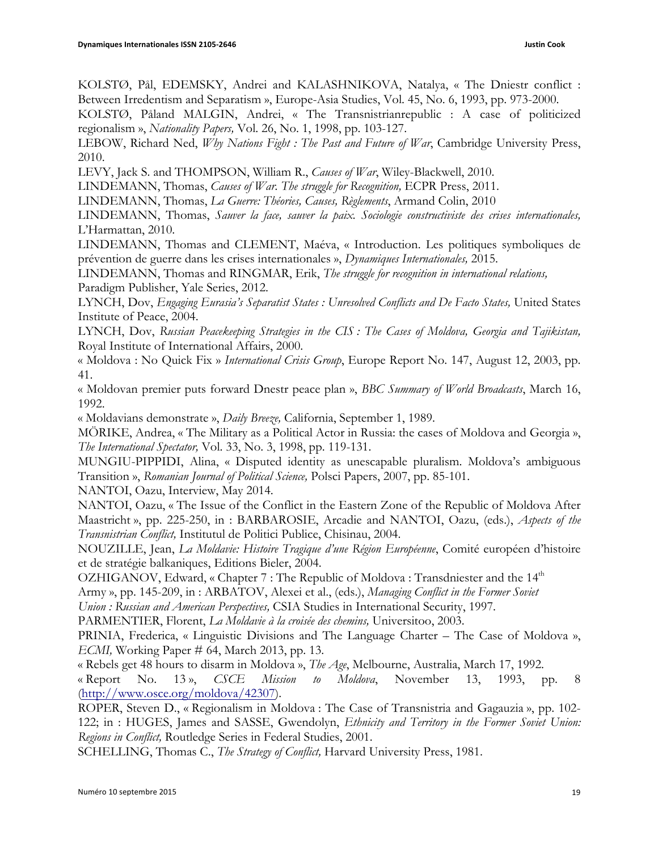KOLSTØ, Pål, EDEMSKY, Andrei and KALASHNIKOVA, Natalya, « The Dniestr conflict : Between Irredentism and Separatism », Europe-Asia Studies, Vol. 45, No. 6, 1993, pp. 973-2000.

KOLSTØ, Påland MALGIN, Andrei, « The Transnistrianrepublic : A case of politicized regionalism », *Nationality Papers,* Vol. 26, No. 1, 1998, pp. 103-127.

LEBOW, Richard Ned, *Why Nations Fight : The Past and Future of War*, Cambridge University Press, 2010.

LEVY, Jack S. and THOMPSON, William R., *Causes of War*, Wiley-Blackwell, 2010.

LINDEMANN, Thomas, *Causes of War. The struggle for Recognition,* ECPR Press, 2011.

LINDEMANN, Thomas, *La Guerre: Théories, Causes, Règlements*, Armand Colin, 2010

LINDEMANN, Thomas, *Sauver la face, sauver la paix. Sociologie constructiviste des crises internationales,*  L'Harmattan, 2010.

LINDEMANN, Thomas and CLEMENT, Maéva, « Introduction. Les politiques symboliques de prévention de guerre dans les crises internationales », *Dynamiques Internationales,* 2015.

LINDEMANN, Thomas and RINGMAR, Erik, *The struggle for recognition in international relations,* Paradigm Publisher, Yale Series, 2012.

LYNCH, Dov, *Engaging Eurasia's Separatist States : Unresolved Conflicts and De Facto States,* United States Institute of Peace, 2004.

LYNCH, Dov, *Russian Peacekeeping Strategies in the CIS : The Cases of Moldova, Georgia and Tajikistan,*  Royal Institute of International Affairs, 2000.

« Moldova : No Quick Fix » *International Crisis Group*, Europe Report No. 147, August 12, 2003, pp. 41.

« Moldovan premier puts forward Dnestr peace plan », *BBC Summary of World Broadcasts*, March 16, 1992.

« Moldavians demonstrate », *Daily Breeze,* California, September 1, 1989.

MÖRIKE, Andrea, « The Military as a Political Actor in Russia: the cases of Moldova and Georgia », *The International Spectator,* Vol. 33, No. 3, 1998, pp. 119-131.

MUNGIU-PIPPIDI, Alina, « Disputed identity as unescapable pluralism. Moldova's ambiguous Transition », *Romanian Journal of Political Science,* Polsci Papers, 2007, pp. 85-101.

NANTOI, Oazu, Interview, May 2014.

NANTOI, Oazu, « The Issue of the Conflict in the Eastern Zone of the Republic of Moldova After Maastricht », pp. 225-250, in : BARBAROSIE, Arcadie and NANTOI, Oazu, (eds.), *Aspects of the Transnistrian Conflict,* Institutul de Politici Publice, Chisinau, 2004.

NOUZILLE, Jean, *La Moldavie: Histoire Tragique d'une Région Européenne*, Comité européen d'histoire et de stratégie balkaniques, Editions Bieler, 2004.

OZHIGANOV, Edward, « Chapter  $7:$  The Republic of Moldova : Transdniester and the  $14<sup>th</sup>$ Army », pp. 145-209, in : ARBATOV, Alexei et al., (eds.), *Managing Conflict in the Former Soviet*

*Union : Russian and American Perspectives,* CSIA Studies in International Security, 1997.

PARMENTIER, Florent, *La Moldavie à la croisée des chemins,* Universitoo, 2003.

PRINIA, Frederica, « Linguistic Divisions and The Language Charter – The Case of Moldova », *ECMI,* Working Paper # 64, March 2013, pp. 13.

« Rebels get 48 hours to disarm in Moldova », *The Age*, Melbourne, Australia, March 17, 1992.

« Report No. 13 », *CSCE Mission to Moldova*, November 13, 1993, pp. 8 (http://www.osce.org/moldova/42307).

ROPER, Steven D., « Regionalism in Moldova : The Case of Transnistria and Gagauzia », pp. 102- 122; in : HUGES, James and SASSE, Gwendolyn, *Ethnicity and Territory in the Former Soviet Union: Regions in Conflict,* Routledge Series in Federal Studies, 2001.

SCHELLING, Thomas C., *The Strategy of Conflict,* Harvard University Press, 1981.